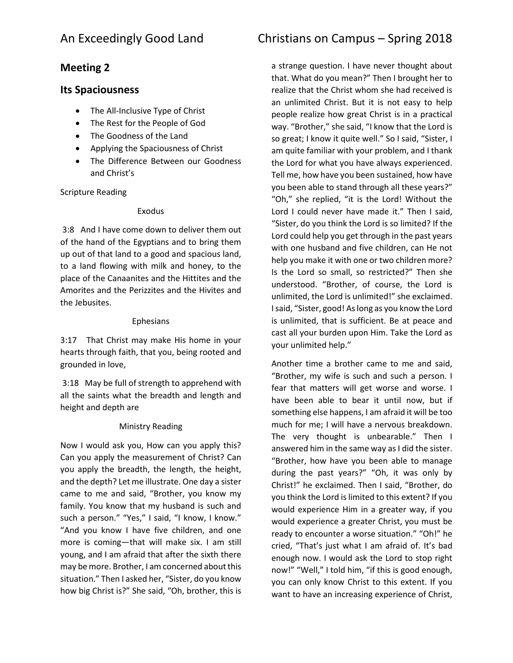# **Meeting 2**

## **Its Spaciousness**

- The All-Inclusive Type of Christ
- The Rest for the People of God
- The Goodness of the Land
- Applying the Spaciousness of Christ
- The Difference Between our Goodness and Christ's

Scripture Reading

#### Exodus

3:8 And I have come down to deliver them out of the hand of the Egyptians and to bring them up out of that land to a good and spacious land, to a land flowing with milk and honey, to the place of the Canaanites and the Hittites and the Amorites and the Perizzites and the Hivites and the Jebusites.

### Ephesians

3:17 That Christ may make His home in your hearts through faith, that you, being rooted and grounded in love,

3:18 May be full of strength to apprehend with all the saints what the breadth and length and height and depth are

### Ministry Reading

Now I would ask you, How can you apply this? Can you apply the measurement of Christ? Can you apply the breadth, the length, the height, and the depth? Let me illustrate. One day a sister came to me and said, "Brother, you know my family. You know that my husband is such and such a person." "Yes," I said, "I know, I know." "And you know I have five children, and one more is coming—that will make six. I am still young, and I am afraid that after the sixth there may be more. Brother, I am concerned about this situation." Then I asked her, "Sister, do you know how big Christ is?" She said, "Oh, brother, this is

a strange question. I have never thought about that. What do you mean?" Then I brought her to realize that the Christ whom she had received is an unlimited Christ. But it is not easy to help people realize how great Christ is in a practical way. "Brother," she said, "I know that the Lord is so great; I know it quite well." So I said, "Sister, I am quite familiar with your problem, and I thank the Lord for what you have always experienced. Tell me, how have you been sustained, how have you been able to stand through all these years?" "Oh," she replied, "it is the Lord! Without the Lord I could never have made it." Then I said, "Sister, do you think the Lord is so limited? If the Lord could help you get through in the past years with one husband and five children, can He not help you make it with one or two children more? Is the Lord so small, so restricted?" Then she understood. "Brother, of course, the Lord is unlimited, the Lord is unlimited!" she exclaimed. I said, "Sister, good! As long as you know the Lord is unlimited, that is sufficient. Be at peace and cast all your burden upon Him. Take the Lord as your unlimited help."

Another time a brother came to me and said, "Brother, my wife is such and such a person. I fear that matters will get worse and worse. I have been able to bear it until now, but if something else happens, I am afraid it will be too much for me; I will have a nervous breakdown. The very thought is unbearable." Then I answered him in the same way as I did the sister. "Brother, how have you been able to manage during the past years?" "Oh, it was only by Christ!" he exclaimed. Then I said, "Brother, do you think the Lord is limited to this extent? If you would experience Him in a greater way, if you would experience a greater Christ, you must be ready to encounter a worse situation." "Oh!" he cried, "That's just what I am afraid of. It's bad enough now. I would ask the Lord to stop right now!" "Well," I told him, "if this is good enough, you can only know Christ to this extent. If you want to have an increasing experience of Christ,